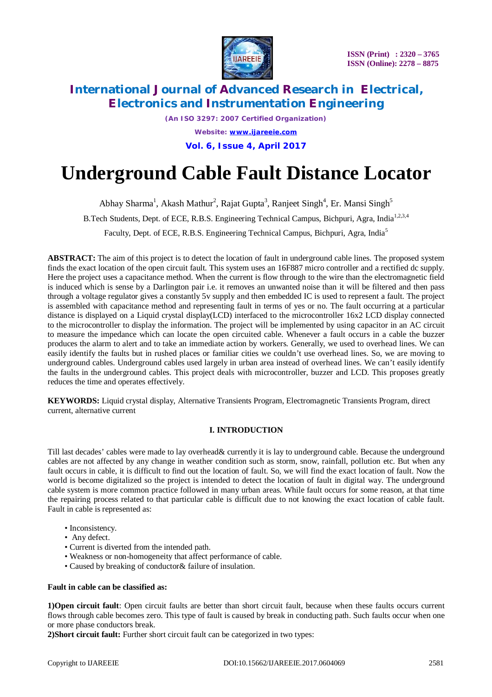

*(An ISO 3297: 2007 Certified Organization) Website: [www.ijareeie.com](http://www.ijareeie.com)* **Vol. 6, Issue 4, April 2017**

# **Underground Cable Fault Distance Locator**

Abhay Sharma<sup>1</sup>, Akash Mathur<sup>2</sup>, Rajat Gupta<sup>3</sup>, Ranjeet Singh<sup>4</sup>, Er. Mansi Singh<sup>5</sup> B.Tech Students, Dept. of ECE, R.B.S. Engineering Technical Campus, Bichpuri, Agra, India<sup>1,2,3,4</sup> Faculty, Dept. of ECE, R.B.S. Engineering Technical Campus, Bichpuri, Agra, India<sup>5</sup>

**ABSTRACT:** The aim of this project is to detect the location of fault in underground cable lines. The proposed system finds the exact location of the open circuit fault. This system uses an 16F887 micro controller and a rectified dc supply. Here the project uses a capacitance method. When the current is flow through to the wire than the electromagnetic field is induced which is sense by a Darlington pair i.e. it removes an unwanted noise than it will be filtered and then pass through a voltage regulator gives a constantly 5v supply and then embedded IC is used to represent a fault. The project is assembled with capacitance method and representing fault in terms of yes or no. The fault occurring at a particular distance is displayed on a Liquid crystal display(LCD) interfaced to the microcontroller 16x2 LCD display connected to the microcontroller to display the information. The project will be implemented by using capacitor in an AC circuit to measure the impedance which can locate the open circuited cable. Whenever a fault occurs in a cable the buzzer produces the alarm to alert and to take an immediate action by workers. Generally, we used to overhead lines. We can easily identify the faults but in rushed places or familiar cities we couldn't use overhead lines. So, we are moving to underground cables. Underground cables used largely in urban area instead of overhead lines. We can't easily identify the faults in the underground cables. This project deals with microcontroller, buzzer and LCD. This proposes greatly reduces the time and operates effectively.

**KEYWORDS:** Liquid crystal display, Alternative Transients Program, Electromagnetic Transients Program, direct current, alternative current

# **I. INTRODUCTION**

Till last decades' cables were made to lay overhead& currently it is lay to underground cable. Because the underground cables are not affected by any change in weather condition such as storm, snow, rainfall, pollution etc. But when any fault occurs in cable, it is difficult to find out the location of fault. So, we will find the exact location of fault. Now the world is become digitalized so the project is intended to detect the location of fault in digital way. The underground cable system is more common practice followed in many urban areas. While fault occurs for some reason, at that time the repairing process related to that particular cable is difficult due to not knowing the exact location of cable fault. Fault in cable is represented as:

- Inconsistency.
- Any defect.
- Current is diverted from the intended path.
- Weakness or non-homogeneity that affect performance of cable.
- Caused by breaking of conductor& failure of insulation.

#### **Fault in cable can be classified as:**

**1)Open circuit fault**: Open circuit faults are better than short circuit fault, because when these faults occurs current flows through cable becomes zero. This type of fault is caused by break in conducting path. Such faults occur when one or more phase conductors break.

**2)Short circuit fault:** Further short circuit fault can be categorized in two types: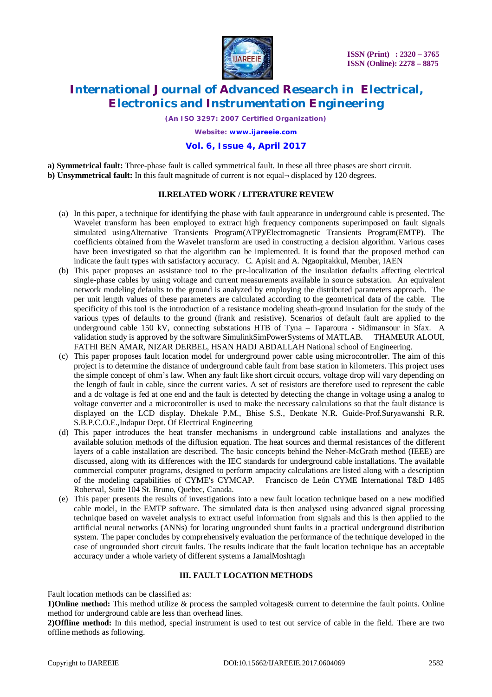

*(An ISO 3297: 2007 Certified Organization)*

*Website: [www.ijareeie.com](http://www.ijareeie.com)*

# **Vol. 6, Issue 4, April 2017**

**a) Symmetrical fault:** Three-phase fault is called symmetrical fault. In these all three phases are short circuit. **b) Unsymmetrical fault:** In this fault magnitude of current is not equal¬ displaced by 120 degrees.

### **II.RELATED WORK / LITERATURE REVIEW**

- (a) In this paper, a technique for identifying the phase with fault appearance in underground cable is presented. The Wavelet transform has been employed to extract high frequency components superimposed on fault signals simulated usingAlternative Transients Program(ATP)/Electromagnetic Transients Program(EMTP). The coefficients obtained from the Wavelet transform are used in constructing a decision algorithm. Various cases have been investigated so that the algorithm can be implemented. It is found that the proposed method can indicate the fault types with satisfactory accuracy. C. Apisit and A. Ngaopitakkul, Member, IAEN
- (b) This paper proposes an assistance tool to the pre-localization of the insulation defaults affecting electrical single-phase cables by using voltage and current measurements available in source substation. An equivalent network modeling defaults to the ground is analyzed by employing the distributed parameters approach. The per unit length values of these parameters are calculated according to the geometrical data of the cable. The specificity of this tool is the introduction of a resistance modeling sheath-ground insulation for the study of the various types of defaults to the ground (frank and resistive). Scenarios of default fault are applied to the underground cable 150 kV, connecting substations HTB of Tyna – Taparoura - Sidimansour in Sfax. A validation study is approved by the software SimulinkSimPowerSystems of MATLAB. THAMEUR ALOUI, FATHI BEN AMAR, NIZAR DERBEL, HSAN HADJ ABDALLAH National school of Engineering.
- (c) This paper proposes fault location model for underground power cable using microcontroller. The aim of this project is to determine the distance of underground cable fault from base station in kilometers. This project uses the simple concept of ohm's law. When any fault like short circuit occurs, voltage drop will vary depending on the length of fault in cable, since the current varies. A set of resistors are therefore used to represent the cable and a dc voltage is fed at one end and the fault is detected by detecting the change in voltage using a analog to voltage converter and a microcontroller is used to make the necessary calculations so that the fault distance is displayed on the LCD display. Dhekale P.M., Bhise S.S., Deokate N.R. Guide-Prof.Suryawanshi R.R. S.B.P.C.O.E.,Indapur Dept. Of Electrical Engineering
- (d) This paper introduces the heat transfer mechanisms in underground cable installations and analyzes the available solution methods of the diffusion equation. The heat sources and thermal resistances of the different layers of a cable installation are described. The basic concepts behind the Neher-McGrath method (IEEE) are discussed, along with its differences with the IEC standards for underground cable installations. The available commercial computer programs, designed to perform ampacity calculations are listed along with a description of the modeling capabilities of CYME's CYMCAP. Francisco de León CYME International T&D 1485 Roberval, Suite 104 St. Bruno, Quebec, Canada.
- (e) This paper presents the results of investigations into a new fault location technique based on a new modified cable model, in the EMTP software. The simulated data is then analysed using advanced signal processing technique based on wavelet analysis to extract useful information from signals and this is then applied to the artificial neural networks (ANNs) for locating ungrounded shunt faults in a practical underground distribution system. The paper concludes by comprehensively evaluation the performance of the technique developed in the case of ungrounded short circuit faults. The results indicate that the fault location technique has an acceptable accuracy under a whole variety of different systems a JamalMoshtagh

#### **III. FAULT LOCATION METHODS**

Fault location methods can be classified as:

**1)Online method:** This method utilize & process the sampled voltages& current to determine the fault points. Online method for underground cable are less than overhead lines.

**2)Offline method:** In this method, special instrument is used to test out service of cable in the field. There are two offline methods as following.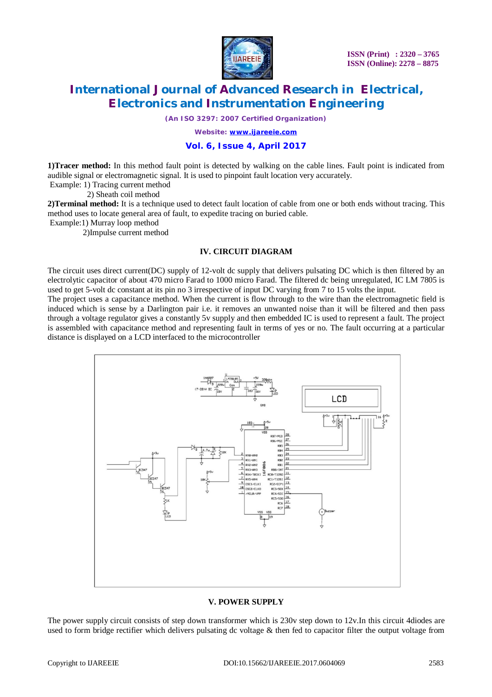

**ISSN (Print) : 2320 – 3765 ISSN (Online): 2278 – 8875**

# **International Journal of Advanced Research in Electrical, Electronics and Instrumentation Engineering**

*(An ISO 3297: 2007 Certified Organization)*

*Website: [www.ijareeie.com](http://www.ijareeie.com)*

# **Vol. 6, Issue 4, April 2017**

**1)Tracer method:** In this method fault point is detected by walking on the cable lines. Fault point is indicated from audible signal or electromagnetic signal. It is used to pinpoint fault location very accurately.

Example: 1) Tracing current method

2) Sheath coil method

**2)Terminal method:** It is a technique used to detect fault location of cable from one or both ends without tracing. This method uses to locate general area of fault, to expedite tracing on buried cable.

Example:1) Murray loop method

2)Impulse current method

### **IV. CIRCUIT DIAGRAM**

The circuit uses direct current(DC) supply of 12-volt dc supply that delivers pulsating DC which is then filtered by an electrolytic capacitor of about 470 micro Farad to 1000 micro Farad. The filtered dc being unregulated, IC LM 7805 is used to get 5-volt dc constant at its pin no 3 irrespective of input DC varying from 7 to 15 volts the input.

The project uses a capacitance method. When the current is flow through to the wire than the electromagnetic field is induced which is sense by a Darlington pair i.e. it removes an unwanted noise than it will be filtered and then pass through a voltage regulator gives a constantly 5v supply and then embedded IC is used to represent a fault. The project is assembled with capacitance method and representing fault in terms of yes or no. The fault occurring at a particular distance is displayed on a LCD interfaced to the microcontroller



#### **V. POWER SUPPLY**

The power supply circuit consists of step down transformer which is 230v step down to 12v.In this circuit 4diodes are used to form bridge rectifier which delivers pulsating dc voltage & then fed to capacitor filter the output voltage from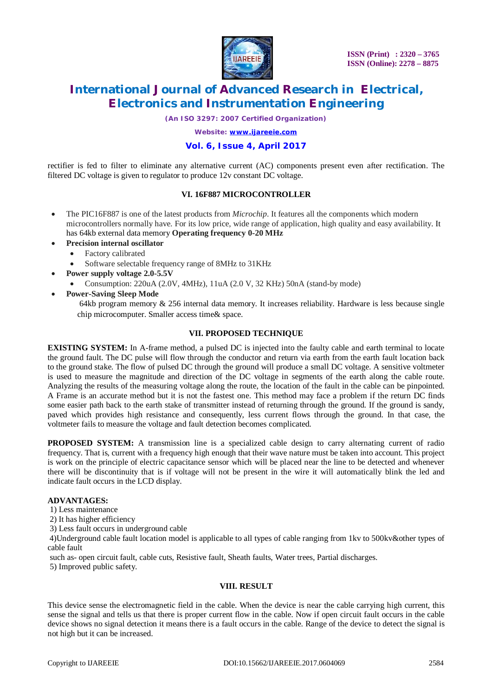

*(An ISO 3297: 2007 Certified Organization)*

*Website: [www.ijareeie.com](http://www.ijareeie.com)*

### **Vol. 6, Issue 4, April 2017**

rectifier is fed to filter to eliminate any alternative current (AC) components present even after rectification. The filtered DC voltage is given to regulator to produce 12v constant DC voltage.

### **VI. 16F887 MICROCONTROLLER**

- The PIC16F887 is one of the latest products from *Microchip*. It features all the components which modern microcontrollers normally have. For its low price, wide range of application, high quality and easy availability. It has 64kb external data memory **Operating frequency 0-20 MHz**
- **Precision internal oscillator**
	- Factory calibrated
	- Software selectable frequency range of 8MHz to 31KHz
- **Power supply voltage 2.0-5.5V**
	- Consumption: 220uA (2.0V, 4MHz), 11uA (2.0 V, 32 KHz) 50nA (stand-by mode)
- **Power-Saving Sleep Mode**
	- 64kb program memory & 256 internal data memory. It increases reliability. Hardware is less because single chip microcomputer. Smaller access time& space.

#### **VII. PROPOSED TECHNIQUE**

**EXISTING SYSTEM:** In A-frame method, a pulsed DC is injected into the faulty cable and earth terminal to locate the ground fault. The DC pulse will flow through the conductor and return via earth from the earth fault location back to the ground stake. The flow of pulsed DC through the ground will produce a small DC voltage. A sensitive voltmeter is used to measure the magnitude and direction of the DC voltage in segments of the earth along the cable route. Analyzing the results of the measuring voltage along the route, the location of the fault in the cable can be pinpointed. A Frame is an accurate method but it is not the fastest one. This method may face a problem if the return DC finds some easier path back to the earth stake of transmitter instead of returning through the ground. If the ground is sandy, paved which provides high resistance and consequently, less current flows through the ground. In that case, the voltmeter fails to measure the voltage and fault detection becomes complicated.

**PROPOSED SYSTEM:** A transmission line is a specialized cable design to carry alternating current of radio frequency. That is, current with a frequency high enough that their wave nature must be taken into account. This project is work on the principle of electric capacitance sensor which will be placed near the line to be detected and whenever there will be discontinuity that is if voltage will not be present in the wire it will automatically blink the led and indicate fault occurs in the LCD display.

### **ADVANTAGES:**

1) Less maintenance

- 2) It has higher efficiency
- 3) Less fault occurs in underground cable

4)Underground cable fault location model is applicable to all types of cable ranging from 1kv to 500kv&other types of cable fault

such as- open circuit fault, cable cuts, Resistive fault, Sheath faults, Water trees, Partial discharges.

5) Improved public safety.

#### **VIII. RESULT**

This device sense the electromagnetic field in the cable. When the device is near the cable carrying high current, this sense the signal and tells us that there is proper current flow in the cable. Now if open circuit fault occurs in the cable device shows no signal detection it means there is a fault occurs in the cable. Range of the device to detect the signal is not high but it can be increased.